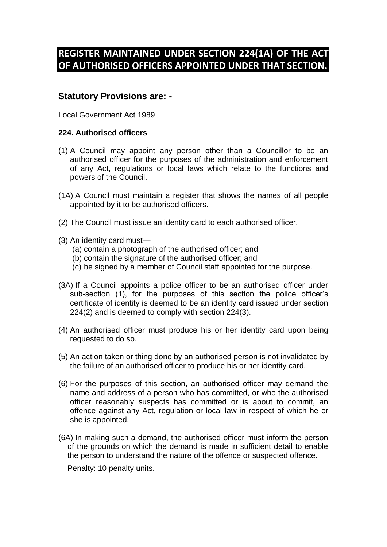# **REGISTER MAINTAINED UNDER SECTION 224(1A) OF THE ACT OF AUTHORISED OFFICERS APPOINTED UNDER THAT SECTION.**

### **Statutory Provisions are: -**

Local Government Act 1989

#### **224. Authorised officers**

- (1) A Council may appoint any person other than a Councillor to be an authorised officer for the purposes of the administration and enforcement of any Act, regulations or local laws which relate to the functions and powers of the Council.
- (1A) A Council must maintain a register that shows the names of all people appointed by it to be authorised officers.
- (2) The Council must issue an identity card to each authorised officer.
- (3) An identity card must—
	- (a) contain a photograph of the authorised officer; and
	- (b) contain the signature of the authorised officer; and
	- (c) be signed by a member of Council staff appointed for the purpose.
- (3A) If a Council appoints a police officer to be an authorised officer under sub-section (1), for the purposes of this section the police officer's certificate of identity is deemed to be an identity card issued under section 224(2) and is deemed to comply with section 224(3).
- (4) An authorised officer must produce his or her identity card upon being requested to do so.
- (5) An action taken or thing done by an authorised person is not invalidated by the failure of an authorised officer to produce his or her identity card.
- (6) For the purposes of this section, an authorised officer may demand the name and address of a person who has committed, or who the authorised officer reasonably suspects has committed or is about to commit, an offence against any Act, regulation or local law in respect of which he or she is appointed.
- (6A) In making such a demand, the authorised officer must inform the person of the grounds on which the demand is made in sufficient detail to enable the person to understand the nature of the offence or suspected offence.

Penalty: 10 penalty units.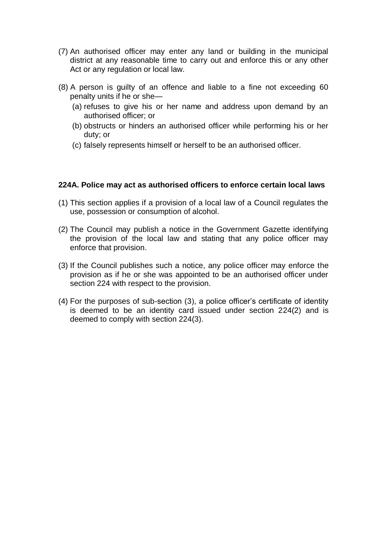- (7) An authorised officer may enter any land or building in the municipal district at any reasonable time to carry out and enforce this or any other Act or any regulation or local law.
- (8) A person is guilty of an offence and liable to a fine not exceeding 60 penalty units if he or she—
	- (a) refuses to give his or her name and address upon demand by an authorised officer; or
	- (b) obstructs or hinders an authorised officer while performing his or her duty; or
	- (c) falsely represents himself or herself to be an authorised officer.

#### **224A. Police may act as authorised officers to enforce certain local laws**

- (1) This section applies if a provision of a local law of a Council regulates the use, possession or consumption of alcohol.
- (2) The Council may publish a notice in the Government Gazette identifying the provision of the local law and stating that any police officer may enforce that provision.
- (3) If the Council publishes such a notice, any police officer may enforce the provision as if he or she was appointed to be an authorised officer under section 224 with respect to the provision.
- (4) For the purposes of sub-section (3), a police officer's certificate of identity is deemed to be an identity card issued under section 224(2) and is deemed to comply with section 224(3).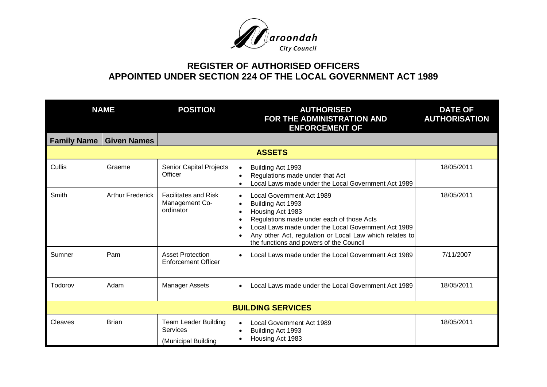

## **REGISTER OF AUTHORISED OFFICERS APPOINTED UNDER SECTION 224 OF THE LOCAL GOVERNMENT ACT 1989**

|                          | <b>NAME</b>             | <b>POSITION</b>                                                       | <b>AUTHORISED</b><br>FOR THE ADMINISTRATION AND<br><b>ENFORCEMENT OF</b>                                                                                                                                                                                                                                                         | <b>DATE OF</b><br><b>AUTHORISATION</b> |  |
|--------------------------|-------------------------|-----------------------------------------------------------------------|----------------------------------------------------------------------------------------------------------------------------------------------------------------------------------------------------------------------------------------------------------------------------------------------------------------------------------|----------------------------------------|--|
| <b>Family Name</b>       | <b>Given Names</b>      |                                                                       |                                                                                                                                                                                                                                                                                                                                  |                                        |  |
|                          |                         |                                                                       | <b>ASSETS</b>                                                                                                                                                                                                                                                                                                                    |                                        |  |
| Cullis                   | Graeme                  | Senior Capital Projects<br>Officer                                    | Building Act 1993<br>$\bullet$<br>Regulations made under that Act<br>$\bullet$<br>Local Laws made under the Local Government Act 1989<br>$\bullet$                                                                                                                                                                               | 18/05/2011                             |  |
| Smith                    | <b>Arthur Frederick</b> | <b>Facilitates and Risk</b><br>Management Co-<br>ordinator            | Local Government Act 1989<br>$\bullet$<br>Building Act 1993<br>$\bullet$<br>Housing Act 1983<br>$\bullet$<br>Regulations made under each of those Acts<br>$\bullet$<br>Local Laws made under the Local Government Act 1989<br>Any other Act, regulation or Local Law which relates to<br>the functions and powers of the Council | 18/05/2011                             |  |
| Sumner                   | Pam                     | <b>Asset Protection</b><br><b>Enforcement Officer</b>                 | Local Laws made under the Local Government Act 1989                                                                                                                                                                                                                                                                              | 7/11/2007                              |  |
| Todorov                  | Adam                    | <b>Manager Assets</b>                                                 | Local Laws made under the Local Government Act 1989<br>$\bullet$                                                                                                                                                                                                                                                                 | 18/05/2011                             |  |
| <b>BUILDING SERVICES</b> |                         |                                                                       |                                                                                                                                                                                                                                                                                                                                  |                                        |  |
| Cleaves                  | <b>Brian</b>            | <b>Team Leader Building</b><br><b>Services</b><br>(Municipal Building | Local Government Act 1989<br>$\bullet$<br>Building Act 1993<br>$\bullet$<br>Housing Act 1983<br>$\bullet$                                                                                                                                                                                                                        | 18/05/2011                             |  |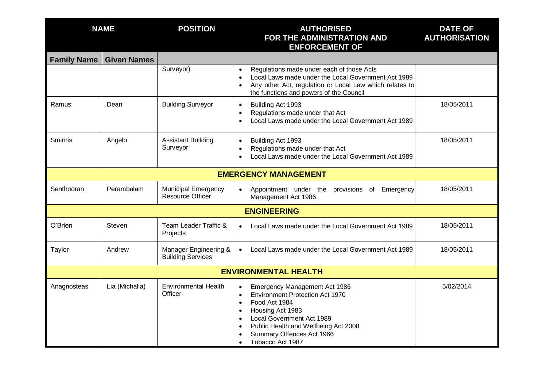| <b>NAME</b>                 |                    | <b>POSITION</b>                                       |                                                               | <b>AUTHORISED</b><br>FOR THE ADMINISTRATION AND<br><b>ENFORCEMENT OF</b>                                                                                                                                                           | <b>DATE OF</b><br><b>AUTHORISATION</b> |
|-----------------------------|--------------------|-------------------------------------------------------|---------------------------------------------------------------|------------------------------------------------------------------------------------------------------------------------------------------------------------------------------------------------------------------------------------|----------------------------------------|
| <b>Family Name</b>          | <b>Given Names</b> |                                                       |                                                               |                                                                                                                                                                                                                                    |                                        |
|                             |                    | Surveyor)                                             | $\bullet$                                                     | Regulations made under each of those Acts<br>Local Laws made under the Local Government Act 1989<br>Any other Act, regulation or Local Law which relates to<br>the functions and powers of the Council                             |                                        |
| Ramus                       | Dean               | <b>Building Surveyor</b>                              | $\bullet$<br>$\bullet$                                        | Building Act 1993<br>Regulations made under that Act<br>Local Laws made under the Local Government Act 1989                                                                                                                        | 18/05/2011                             |
| Smirnis                     | Angelo             | <b>Assistant Building</b><br>Surveyor                 | $\bullet$                                                     | Building Act 1993<br>Regulations made under that Act<br>Local Laws made under the Local Government Act 1989                                                                                                                        | 18/05/2011                             |
|                             |                    |                                                       |                                                               | <b>EMERGENCY MANAGEMENT</b>                                                                                                                                                                                                        |                                        |
| Senthooran                  | Perambalam         | <b>Municipal Emergency</b><br><b>Resource Officer</b> | $\bullet$                                                     | Appointment under the provisions of Emergency<br>Management Act 1986                                                                                                                                                               | 18/05/2011                             |
|                             |                    |                                                       |                                                               | <b>ENGINEERING</b>                                                                                                                                                                                                                 |                                        |
| O'Brien                     | Steven             | Team Leader Traffic &<br>Projects                     |                                                               | Local Laws made under the Local Government Act 1989                                                                                                                                                                                | 18/05/2011                             |
| Taylor                      | Andrew             | Manager Engineering &<br><b>Building Services</b>     | $\bullet$                                                     | Local Laws made under the Local Government Act 1989                                                                                                                                                                                | 18/05/2011                             |
| <b>ENVIRONMENTAL HEALTH</b> |                    |                                                       |                                                               |                                                                                                                                                                                                                                    |                                        |
| Anagnosteas                 | Lia (Michalia)     | <b>Environmental Health</b><br>Officer                | $\bullet$<br>$\bullet$<br>$\bullet$<br>$\bullet$<br>$\bullet$ | Emergency Management Act 1986<br><b>Environment Protection Act 1970</b><br>Food Act 1984<br>Housing Act 1983<br>Local Government Act 1989<br>Public Health and Wellbeing Act 2008<br>Summary Offences Act 1966<br>Tobacco Act 1987 | 5/02/2014                              |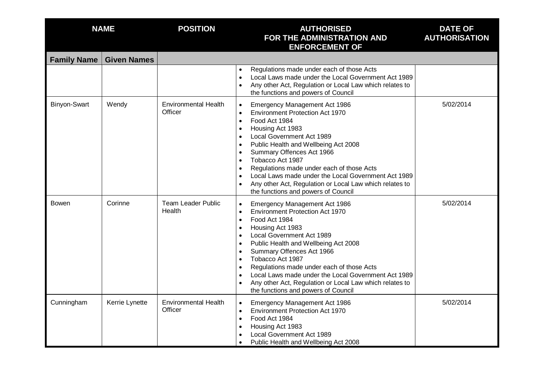| <b>NAME</b>         |                    | <b>POSITION</b>                        | <b>AUTHORISED</b><br>FOR THE ADMINISTRATION AND<br><b>ENFORCEMENT OF</b>                                                                                                                                                                                                                                                                                                                                                                                                                                                                   | <b>DATE OF</b><br><b>AUTHORISATION</b> |
|---------------------|--------------------|----------------------------------------|--------------------------------------------------------------------------------------------------------------------------------------------------------------------------------------------------------------------------------------------------------------------------------------------------------------------------------------------------------------------------------------------------------------------------------------------------------------------------------------------------------------------------------------------|----------------------------------------|
| <b>Family Name</b>  | <b>Given Names</b> |                                        |                                                                                                                                                                                                                                                                                                                                                                                                                                                                                                                                            |                                        |
|                     |                    |                                        | Regulations made under each of those Acts<br>$\bullet$<br>Local Laws made under the Local Government Act 1989<br>$\bullet$<br>Any other Act, Regulation or Local Law which relates to<br>the functions and powers of Council                                                                                                                                                                                                                                                                                                               |                                        |
| <b>Binyon-Swart</b> | Wendy              | <b>Environmental Health</b><br>Officer | <b>Emergency Management Act 1986</b><br>$\bullet$<br><b>Environment Protection Act 1970</b><br>$\bullet$<br>Food Act 1984<br>$\bullet$<br>Housing Act 1983<br>Local Government Act 1989<br>$\bullet$<br>Public Health and Wellbeing Act 2008<br>$\bullet$<br>Summary Offences Act 1966<br>$\bullet$<br>Tobacco Act 1987<br>$\bullet$<br>Regulations made under each of those Acts<br>Local Laws made under the Local Government Act 1989<br>Any other Act, Regulation or Local Law which relates to<br>the functions and powers of Council | 5/02/2014                              |
| <b>Bowen</b>        | Corinne            | <b>Team Leader Public</b><br>Health    | Emergency Management Act 1986<br>$\bullet$<br><b>Environment Protection Act 1970</b><br>$\bullet$<br>Food Act 1984<br>$\bullet$<br>Housing Act 1983<br>$\bullet$<br>Local Government Act 1989<br>Public Health and Wellbeing Act 2008<br>$\bullet$<br>Summary Offences Act 1966<br>$\bullet$<br>Tobacco Act 1987<br>$\bullet$<br>Regulations made under each of those Acts<br>Local Laws made under the Local Government Act 1989<br>Any other Act, Regulation or Local Law which relates to<br>the functions and powers of Council        | 5/02/2014                              |
| Cunningham          | Kerrie Lynette     | <b>Environmental Health</b><br>Officer | Emergency Management Act 1986<br>$\bullet$<br><b>Environment Protection Act 1970</b><br>$\bullet$<br>Food Act 1984<br>$\bullet$<br>Housing Act 1983<br>Local Government Act 1989<br>Public Health and Wellbeing Act 2008                                                                                                                                                                                                                                                                                                                   | 5/02/2014                              |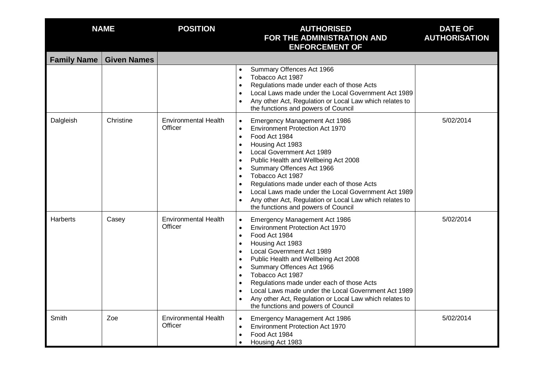|                    | <b>NAME</b>        | <b>POSITION</b>                        | <b>AUTHORISED</b><br>FOR THE ADMINISTRATION AND<br><b>ENFORCEMENT OF</b>                                                                                                                                                                                                                                                                                                                                                                                                                                  | <b>DATE OF</b><br><b>AUTHORISATION</b> |
|--------------------|--------------------|----------------------------------------|-----------------------------------------------------------------------------------------------------------------------------------------------------------------------------------------------------------------------------------------------------------------------------------------------------------------------------------------------------------------------------------------------------------------------------------------------------------------------------------------------------------|----------------------------------------|
| <b>Family Name</b> | <b>Given Names</b> |                                        |                                                                                                                                                                                                                                                                                                                                                                                                                                                                                                           |                                        |
|                    |                    |                                        | Summary Offences Act 1966<br>$\bullet$<br>Tobacco Act 1987<br>$\bullet$<br>Regulations made under each of those Acts<br>Local Laws made under the Local Government Act 1989<br>Any other Act, Regulation or Local Law which relates to<br>the functions and powers of Council                                                                                                                                                                                                                             |                                        |
| Dalgleish          | Christine          | <b>Environmental Health</b><br>Officer | Emergency Management Act 1986<br>$\bullet$<br><b>Environment Protection Act 1970</b><br>$\bullet$<br>Food Act 1984<br>$\bullet$<br>Housing Act 1983<br>$\bullet$<br>Local Government Act 1989<br>Public Health and Wellbeing Act 2008<br>Summary Offences Act 1966<br>Tobacco Act 1987<br>$\bullet$<br>Regulations made under each of those Acts<br>Local Laws made under the Local Government Act 1989<br>Any other Act, Regulation or Local Law which relates to<br>the functions and powers of Council | 5/02/2014                              |
| Harberts           | Casey              | <b>Environmental Health</b><br>Officer | Emergency Management Act 1986<br>$\bullet$<br><b>Environment Protection Act 1970</b><br>$\bullet$<br>Food Act 1984<br>$\bullet$<br>Housing Act 1983<br>$\bullet$<br>Local Government Act 1989<br>Public Health and Wellbeing Act 2008<br>Summary Offences Act 1966<br>Tobacco Act 1987<br>Regulations made under each of those Acts<br>Local Laws made under the Local Government Act 1989<br>Any other Act, Regulation or Local Law which relates to<br>the functions and powers of Council              | 5/02/2014                              |
| Smith              | Zoe                | <b>Environmental Health</b><br>Officer | Emergency Management Act 1986<br>$\bullet$<br><b>Environment Protection Act 1970</b><br>$\bullet$<br>Food Act 1984<br>Housing Act 1983<br>$\bullet$                                                                                                                                                                                                                                                                                                                                                       | 5/02/2014                              |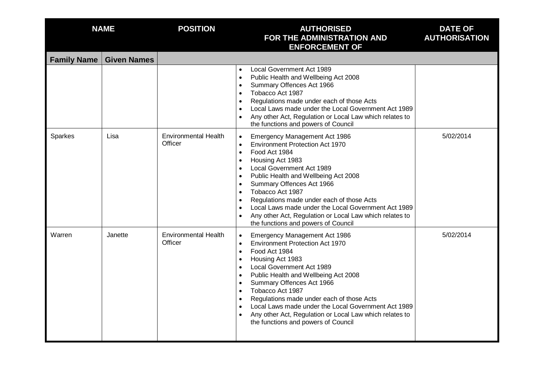|                    | <b>NAME</b>        | <b>POSITION</b>                        | <b>AUTHORISED</b><br>FOR THE ADMINISTRATION AND<br><b>ENFORCEMENT OF</b>                                                                                                                                                                                                                                                                                                                                                                                                        | <b>DATE OF</b><br><b>AUTHORISATION</b> |
|--------------------|--------------------|----------------------------------------|---------------------------------------------------------------------------------------------------------------------------------------------------------------------------------------------------------------------------------------------------------------------------------------------------------------------------------------------------------------------------------------------------------------------------------------------------------------------------------|----------------------------------------|
| <b>Family Name</b> | <b>Given Names</b> |                                        |                                                                                                                                                                                                                                                                                                                                                                                                                                                                                 |                                        |
|                    |                    |                                        | Local Government Act 1989<br>$\bullet$<br>Public Health and Wellbeing Act 2008<br>$\bullet$<br>Summary Offences Act 1966<br>Tobacco Act 1987<br>Regulations made under each of those Acts<br>Local Laws made under the Local Government Act 1989<br>Any other Act, Regulation or Local Law which relates to<br>the functions and powers of Council                                                                                                                              |                                        |
| Sparkes            | Lisa               | <b>Environmental Health</b><br>Officer | Emergency Management Act 1986<br>$\bullet$<br><b>Environment Protection Act 1970</b><br>$\bullet$<br>Food Act 1984<br>$\bullet$<br>Housing Act 1983<br>Local Government Act 1989<br>Public Health and Wellbeing Act 2008<br>Summary Offences Act 1966<br>Tobacco Act 1987<br>Regulations made under each of those Acts<br>Local Laws made under the Local Government Act 1989<br>Any other Act, Regulation or Local Law which relates to<br>the functions and powers of Council | 5/02/2014                              |
| Warren             | Janette            | <b>Environmental Health</b><br>Officer | Emergency Management Act 1986<br>$\bullet$<br><b>Environment Protection Act 1970</b><br>Food Act 1984<br>$\bullet$<br>Housing Act 1983<br>Local Government Act 1989<br>Public Health and Wellbeing Act 2008<br>$\bullet$<br>Summary Offences Act 1966<br>Tobacco Act 1987<br>Regulations made under each of those Acts<br>Local Laws made under the Local Government Act 1989<br>Any other Act, Regulation or Local Law which relates to<br>the functions and powers of Council | 5/02/2014                              |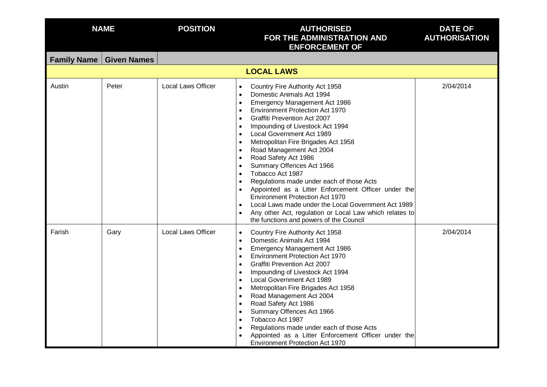| <b>NAME</b>        |                    | <b>POSITION</b>           | <b>AUTHORISED</b><br>FOR THE ADMINISTRATION AND<br><b>ENFORCEMENT OF</b>                                                                                                                                                                                                                                                                                                                                                                                                                                                                                                                                                                                                                                                                                                                                                                                                  | <b>DATE OF</b><br><b>AUTHORISATION</b> |
|--------------------|--------------------|---------------------------|---------------------------------------------------------------------------------------------------------------------------------------------------------------------------------------------------------------------------------------------------------------------------------------------------------------------------------------------------------------------------------------------------------------------------------------------------------------------------------------------------------------------------------------------------------------------------------------------------------------------------------------------------------------------------------------------------------------------------------------------------------------------------------------------------------------------------------------------------------------------------|----------------------------------------|
| <b>Family Name</b> | <b>Given Names</b> |                           |                                                                                                                                                                                                                                                                                                                                                                                                                                                                                                                                                                                                                                                                                                                                                                                                                                                                           |                                        |
|                    |                    |                           | <b>LOCAL LAWS</b>                                                                                                                                                                                                                                                                                                                                                                                                                                                                                                                                                                                                                                                                                                                                                                                                                                                         |                                        |
| Austin             | Peter              | <b>Local Laws Officer</b> | Country Fire Authority Act 1958<br>$\bullet$<br>Domestic Animals Act 1994<br>$\bullet$<br><b>Emergency Management Act 1986</b><br>$\bullet$<br><b>Environment Protection Act 1970</b><br>$\bullet$<br><b>Graffiti Prevention Act 2007</b><br>$\bullet$<br>Impounding of Livestock Act 1994<br>$\bullet$<br>Local Government Act 1989<br>$\bullet$<br>Metropolitan Fire Brigades Act 1958<br>$\bullet$<br>Road Management Act 2004<br>$\bullet$<br>Road Safety Act 1986<br>$\bullet$<br>Summary Offences Act 1966<br>$\bullet$<br>Tobacco Act 1987<br>Regulations made under each of those Acts<br>$\bullet$<br>Appointed as a Litter Enforcement Officer under the<br><b>Environment Protection Act 1970</b><br>Local Laws made under the Local Government Act 1989<br>Any other Act, regulation or Local Law which relates to<br>the functions and powers of the Council | 2/04/2014                              |
| Farish             | Gary               | <b>Local Laws Officer</b> | Country Fire Authority Act 1958<br>$\bullet$<br>Domestic Animals Act 1994<br>$\bullet$<br><b>Emergency Management Act 1986</b><br>$\bullet$<br>Environment Protection Act 1970<br><b>Graffiti Prevention Act 2007</b><br>$\bullet$<br>Impounding of Livestock Act 1994<br>$\bullet$<br>Local Government Act 1989<br>$\bullet$<br>Metropolitan Fire Brigades Act 1958<br>Road Management Act 2004<br>Road Safety Act 1986<br>$\bullet$<br>Summary Offences Act 1966<br>$\bullet$<br>Tobacco Act 1987<br>$\bullet$<br>Regulations made under each of those Acts<br>Appointed as a Litter Enforcement Officer under the<br><b>Environment Protection Act 1970</b>                                                                                                                                                                                                            | 2/04/2014                              |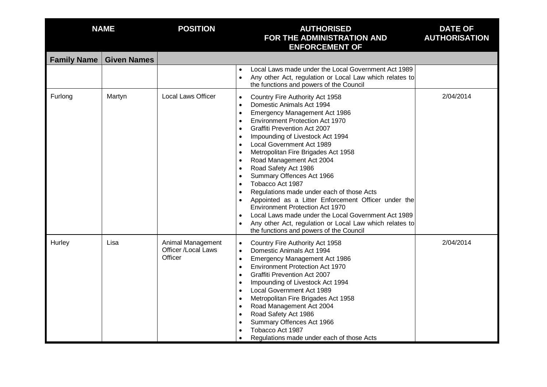| <b>NAME</b>        |                    | <b>POSITION</b>                                            | <b>AUTHORISED</b><br>FOR THE ADMINISTRATION AND<br><b>ENFORCEMENT OF</b>                                                                                                                                                                                                                                                                                                                                                                                                                                                                                                                                                                                                                                                                                                                                              | <b>DATE OF</b><br><b>AUTHORISATION</b> |
|--------------------|--------------------|------------------------------------------------------------|-----------------------------------------------------------------------------------------------------------------------------------------------------------------------------------------------------------------------------------------------------------------------------------------------------------------------------------------------------------------------------------------------------------------------------------------------------------------------------------------------------------------------------------------------------------------------------------------------------------------------------------------------------------------------------------------------------------------------------------------------------------------------------------------------------------------------|----------------------------------------|
| <b>Family Name</b> | <b>Given Names</b> |                                                            |                                                                                                                                                                                                                                                                                                                                                                                                                                                                                                                                                                                                                                                                                                                                                                                                                       |                                        |
|                    |                    |                                                            | Local Laws made under the Local Government Act 1989<br>$\bullet$<br>Any other Act, regulation or Local Law which relates to<br>$\bullet$<br>the functions and powers of the Council                                                                                                                                                                                                                                                                                                                                                                                                                                                                                                                                                                                                                                   |                                        |
| Furlong            | Martyn             | <b>Local Laws Officer</b>                                  | Country Fire Authority Act 1958<br>$\bullet$<br>Domestic Animals Act 1994<br>$\bullet$<br><b>Emergency Management Act 1986</b><br>$\bullet$<br><b>Environment Protection Act 1970</b><br>$\bullet$<br><b>Graffiti Prevention Act 2007</b><br>Impounding of Livestock Act 1994<br>$\bullet$<br>Local Government Act 1989<br>Metropolitan Fire Brigades Act 1958<br>Road Management Act 2004<br>$\bullet$<br>Road Safety Act 1986<br>$\bullet$<br>Summary Offences Act 1966<br>Tobacco Act 1987<br>$\bullet$<br>Regulations made under each of those Acts<br>Appointed as a Litter Enforcement Officer under the<br><b>Environment Protection Act 1970</b><br>Local Laws made under the Local Government Act 1989<br>Any other Act, regulation or Local Law which relates to<br>the functions and powers of the Council | 2/04/2014                              |
| Hurley             | Lisa               | Animal Management<br><b>Officer /Local Laws</b><br>Officer | Country Fire Authority Act 1958<br>$\bullet$<br>Domestic Animals Act 1994<br>$\bullet$<br><b>Emergency Management Act 1986</b><br>$\bullet$<br><b>Environment Protection Act 1970</b><br>$\bullet$<br><b>Graffiti Prevention Act 2007</b><br>$\bullet$<br>Impounding of Livestock Act 1994<br>$\bullet$<br>Local Government Act 1989<br>$\bullet$<br>Metropolitan Fire Brigades Act 1958<br>$\bullet$<br>Road Management Act 2004<br>$\bullet$<br>Road Safety Act 1986<br>Summary Offences Act 1966<br>Tobacco Act 1987<br>Regulations made under each of those Acts                                                                                                                                                                                                                                                  | 2/04/2014                              |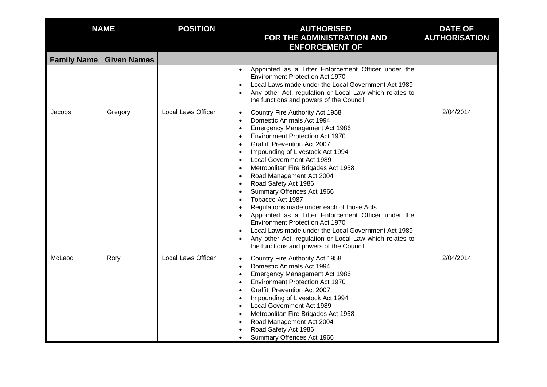| <b>NAME</b>        |                    | <b>POSITION</b>    | <b>AUTHORISED</b><br>FOR THE ADMINISTRATION AND<br><b>ENFORCEMENT OF</b>                                                                                                                                                                                                                                                                                                                                                                                                                                                                                                                                                                                                                                                                                          | <b>DATE OF</b><br><b>AUTHORISATION</b> |
|--------------------|--------------------|--------------------|-------------------------------------------------------------------------------------------------------------------------------------------------------------------------------------------------------------------------------------------------------------------------------------------------------------------------------------------------------------------------------------------------------------------------------------------------------------------------------------------------------------------------------------------------------------------------------------------------------------------------------------------------------------------------------------------------------------------------------------------------------------------|----------------------------------------|
| <b>Family Name</b> | <b>Given Names</b> |                    |                                                                                                                                                                                                                                                                                                                                                                                                                                                                                                                                                                                                                                                                                                                                                                   |                                        |
|                    |                    |                    | Appointed as a Litter Enforcement Officer under the<br><b>Environment Protection Act 1970</b><br>Local Laws made under the Local Government Act 1989<br>Any other Act, regulation or Local Law which relates to<br>the functions and powers of the Council                                                                                                                                                                                                                                                                                                                                                                                                                                                                                                        |                                        |
| Jacobs             | Gregory            | Local Laws Officer | Country Fire Authority Act 1958<br>$\bullet$<br>Domestic Animals Act 1994<br>$\bullet$<br><b>Emergency Management Act 1986</b><br>$\bullet$<br><b>Environment Protection Act 1970</b><br><b>Graffiti Prevention Act 2007</b><br>Impounding of Livestock Act 1994<br>Local Government Act 1989<br>$\bullet$<br>Metropolitan Fire Brigades Act 1958<br>Road Management Act 2004<br>Road Safety Act 1986<br>Summary Offences Act 1966<br>Tobacco Act 1987<br>Regulations made under each of those Acts<br>Appointed as a Litter Enforcement Officer under the<br><b>Environment Protection Act 1970</b><br>Local Laws made under the Local Government Act 1989<br>Any other Act, regulation or Local Law which relates to<br>the functions and powers of the Council | 2/04/2014                              |
| McLeod             | Rory               | Local Laws Officer | Country Fire Authority Act 1958<br>$\bullet$<br>Domestic Animals Act 1994<br>$\bullet$<br>Emergency Management Act 1986<br>٠<br><b>Environment Protection Act 1970</b><br>$\bullet$<br><b>Graffiti Prevention Act 2007</b><br>$\bullet$<br>Impounding of Livestock Act 1994<br>$\bullet$<br>Local Government Act 1989<br>$\bullet$<br>Metropolitan Fire Brigades Act 1958<br>Road Management Act 2004<br>Road Safety Act 1986<br>Summary Offences Act 1966                                                                                                                                                                                                                                                                                                        | 2/04/2014                              |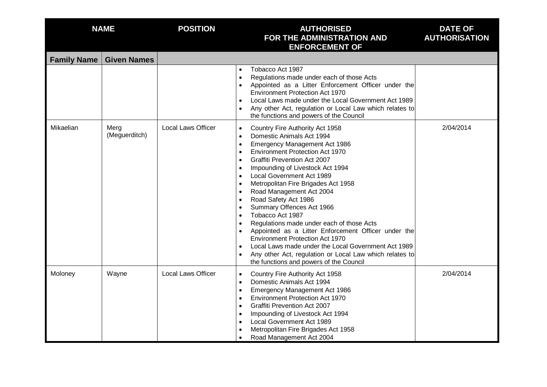|                    | <b>NAME</b>           | <b>POSITION</b>           | <b>AUTHORISED</b><br>FOR THE ADMINISTRATION AND<br><b>ENFORCEMENT OF</b>                                                                                                                                                                                                                                                                                                                                                                                                                                                                                                                                                                                                                                                                                         | <b>DATE OF</b><br><b>AUTHORISATION</b> |
|--------------------|-----------------------|---------------------------|------------------------------------------------------------------------------------------------------------------------------------------------------------------------------------------------------------------------------------------------------------------------------------------------------------------------------------------------------------------------------------------------------------------------------------------------------------------------------------------------------------------------------------------------------------------------------------------------------------------------------------------------------------------------------------------------------------------------------------------------------------------|----------------------------------------|
| <b>Family Name</b> | <b>Given Names</b>    |                           |                                                                                                                                                                                                                                                                                                                                                                                                                                                                                                                                                                                                                                                                                                                                                                  |                                        |
|                    |                       |                           | Tobacco Act 1987<br>$\bullet$<br>Regulations made under each of those Acts<br>$\bullet$<br>Appointed as a Litter Enforcement Officer under the<br><b>Environment Protection Act 1970</b><br>Local Laws made under the Local Government Act 1989<br>Any other Act, regulation or Local Law which relates to<br>the functions and powers of the Council                                                                                                                                                                                                                                                                                                                                                                                                            |                                        |
| Mikaelian          | Merg<br>(Meguerditch) | <b>Local Laws Officer</b> | Country Fire Authority Act 1958<br>$\bullet$<br>Domestic Animals Act 1994<br>$\bullet$<br>Emergency Management Act 1986<br>$\bullet$<br>Environment Protection Act 1970<br>$\bullet$<br><b>Graffiti Prevention Act 2007</b><br>Impounding of Livestock Act 1994<br>Local Government Act 1989<br>Metropolitan Fire Brigades Act 1958<br>Road Management Act 2004<br>Road Safety Act 1986<br>$\bullet$<br>Summary Offences Act 1966<br>Tobacco Act 1987<br>Regulations made under each of those Acts<br>Appointed as a Litter Enforcement Officer under the<br><b>Environment Protection Act 1970</b><br>Local Laws made under the Local Government Act 1989<br>Any other Act, regulation or Local Law which relates to<br>the functions and powers of the Council | 2/04/2014                              |
| Moloney            | Wayne                 | <b>Local Laws Officer</b> | Country Fire Authority Act 1958<br>$\bullet$<br>Domestic Animals Act 1994<br>$\bullet$<br>Emergency Management Act 1986<br>$\bullet$<br><b>Environment Protection Act 1970</b><br><b>Graffiti Prevention Act 2007</b><br>$\bullet$<br>Impounding of Livestock Act 1994<br>$\bullet$<br>Local Government Act 1989<br>Metropolitan Fire Brigades Act 1958<br>Road Management Act 2004                                                                                                                                                                                                                                                                                                                                                                              | 2/04/2014                              |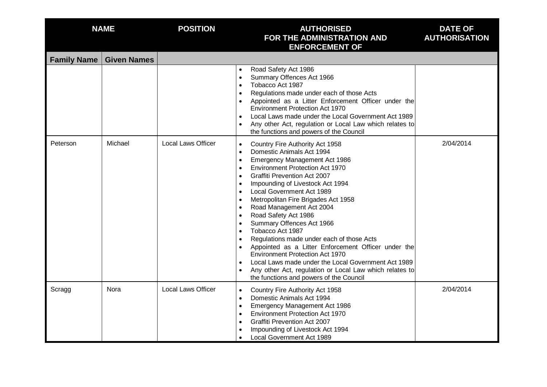|                    | <b>NAME</b>        | <b>POSITION</b>           | <b>AUTHORISED</b><br>FOR THE ADMINISTRATION AND<br><b>ENFORCEMENT OF</b>                                                                                                                                                                                                                                                                                                                                                                                                                                                                                                                                                                                                                                                                      | <b>DATE OF</b><br><b>AUTHORISATION</b> |
|--------------------|--------------------|---------------------------|-----------------------------------------------------------------------------------------------------------------------------------------------------------------------------------------------------------------------------------------------------------------------------------------------------------------------------------------------------------------------------------------------------------------------------------------------------------------------------------------------------------------------------------------------------------------------------------------------------------------------------------------------------------------------------------------------------------------------------------------------|----------------------------------------|
| <b>Family Name</b> | <b>Given Names</b> |                           |                                                                                                                                                                                                                                                                                                                                                                                                                                                                                                                                                                                                                                                                                                                                               |                                        |
|                    |                    |                           | Road Safety Act 1986<br>$\bullet$<br>Summary Offences Act 1966<br>$\bullet$<br>Tobacco Act 1987<br>Regulations made under each of those Acts<br>Appointed as a Litter Enforcement Officer under the<br><b>Environment Protection Act 1970</b><br>Local Laws made under the Local Government Act 1989<br>Any other Act, regulation or Local Law which relates to<br>the functions and powers of the Council                                                                                                                                                                                                                                                                                                                                    |                                        |
| Peterson           | Michael            | <b>Local Laws Officer</b> | Country Fire Authority Act 1958<br>$\bullet$<br>Domestic Animals Act 1994<br>$\bullet$<br><b>Emergency Management Act 1986</b><br><b>Environment Protection Act 1970</b><br>$\bullet$<br><b>Graffiti Prevention Act 2007</b><br>Impounding of Livestock Act 1994<br>Local Government Act 1989<br>Metropolitan Fire Brigades Act 1958<br>Road Management Act 2004<br>Road Safety Act 1986<br>Summary Offences Act 1966<br>Tobacco Act 1987<br>Regulations made under each of those Acts<br>Appointed as a Litter Enforcement Officer under the<br>Environment Protection Act 1970<br>Local Laws made under the Local Government Act 1989<br>Any other Act, regulation or Local Law which relates to<br>the functions and powers of the Council | 2/04/2014                              |
| Scragg             | Nora               | <b>Local Laws Officer</b> | Country Fire Authority Act 1958<br>$\bullet$<br>Domestic Animals Act 1994<br>$\bullet$<br><b>Emergency Management Act 1986</b><br>$\bullet$<br><b>Environment Protection Act 1970</b><br><b>Graffiti Prevention Act 2007</b><br>Impounding of Livestock Act 1994<br>Local Government Act 1989                                                                                                                                                                                                                                                                                                                                                                                                                                                 | 2/04/2014                              |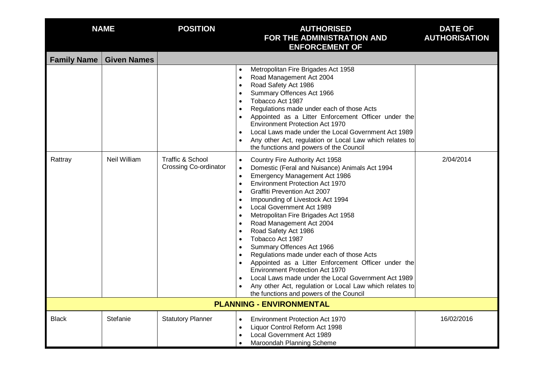|                    | <b>NAME</b>        | <b>POSITION</b>                                  | <b>AUTHORISED</b><br>FOR THE ADMINISTRATION AND<br><b>ENFORCEMENT OF</b>                                                                                                                                                                                                                                                                                                                                                                                                                                                                                                                                                                                                                                                                                                                                                                  | <b>DATE OF</b><br><b>AUTHORISATION</b> |
|--------------------|--------------------|--------------------------------------------------|-------------------------------------------------------------------------------------------------------------------------------------------------------------------------------------------------------------------------------------------------------------------------------------------------------------------------------------------------------------------------------------------------------------------------------------------------------------------------------------------------------------------------------------------------------------------------------------------------------------------------------------------------------------------------------------------------------------------------------------------------------------------------------------------------------------------------------------------|----------------------------------------|
| <b>Family Name</b> | <b>Given Names</b> |                                                  |                                                                                                                                                                                                                                                                                                                                                                                                                                                                                                                                                                                                                                                                                                                                                                                                                                           |                                        |
|                    |                    |                                                  | Metropolitan Fire Brigades Act 1958<br>Road Management Act 2004<br>$\bullet$<br>Road Safety Act 1986<br>$\bullet$<br>Summary Offences Act 1966<br>Tobacco Act 1987<br>Regulations made under each of those Acts<br>Appointed as a Litter Enforcement Officer under the<br>Environment Protection Act 1970<br>Local Laws made under the Local Government Act 1989<br>Any other Act, regulation or Local Law which relates to<br>the functions and powers of the Council                                                                                                                                                                                                                                                                                                                                                                    |                                        |
| Rattray            | Neil William       | Traffic & School<br><b>Crossing Co-ordinator</b> | Country Fire Authority Act 1958<br>$\bullet$<br>Domestic (Feral and Nuisance) Animals Act 1994<br>$\bullet$<br>Emergency Management Act 1986<br>$\bullet$<br>Environment Protection Act 1970<br>$\bullet$<br><b>Graffiti Prevention Act 2007</b><br>$\bullet$<br>Impounding of Livestock Act 1994<br>Local Government Act 1989<br>Metropolitan Fire Brigades Act 1958<br>$\bullet$<br>Road Management Act 2004<br>$\bullet$<br>Road Safety Act 1986<br>Tobacco Act 1987<br>Summary Offences Act 1966<br>$\bullet$<br>Regulations made under each of those Acts<br>Appointed as a Litter Enforcement Officer under the<br>$\bullet$<br><b>Environment Protection Act 1970</b><br>Local Laws made under the Local Government Act 1989<br>Any other Act, regulation or Local Law which relates to<br>the functions and powers of the Council | 2/04/2014                              |
|                    |                    |                                                  | <b>PLANNING - ENVIRONMENTAL</b>                                                                                                                                                                                                                                                                                                                                                                                                                                                                                                                                                                                                                                                                                                                                                                                                           |                                        |
| <b>Black</b>       | Stefanie           | <b>Statutory Planner</b>                         | <b>Environment Protection Act 1970</b><br>$\bullet$<br>Liquor Control Reform Act 1998<br>$\bullet$<br>Local Government Act 1989<br>Maroondah Planning Scheme                                                                                                                                                                                                                                                                                                                                                                                                                                                                                                                                                                                                                                                                              | 16/02/2016                             |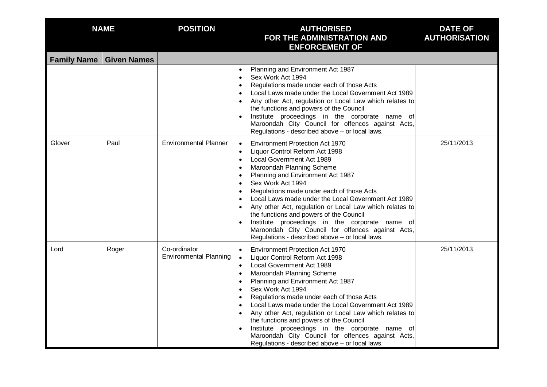|                    | <b>NAME</b>        | <b>POSITION</b>                               | <b>AUTHORISED</b><br>FOR THE ADMINISTRATION AND<br><b>ENFORCEMENT OF</b>                                                                                                                                                                                                                                                                                                                                                                                                                                                                                                                               | <b>DATE OF</b><br><b>AUTHORISATION</b> |
|--------------------|--------------------|-----------------------------------------------|--------------------------------------------------------------------------------------------------------------------------------------------------------------------------------------------------------------------------------------------------------------------------------------------------------------------------------------------------------------------------------------------------------------------------------------------------------------------------------------------------------------------------------------------------------------------------------------------------------|----------------------------------------|
| <b>Family Name</b> | <b>Given Names</b> |                                               |                                                                                                                                                                                                                                                                                                                                                                                                                                                                                                                                                                                                        |                                        |
|                    |                    |                                               | Planning and Environment Act 1987<br>Sex Work Act 1994<br>$\bullet$<br>Regulations made under each of those Acts<br>Local Laws made under the Local Government Act 1989<br>Any other Act, regulation or Local Law which relates to<br>the functions and powers of the Council<br>Institute proceedings in the corporate name of<br>Maroondah City Council for offences against Acts,<br>Regulations - described above - or local laws.                                                                                                                                                                 |                                        |
| Glover             | Paul               | <b>Environmental Planner</b>                  | <b>Environment Protection Act 1970</b><br>$\bullet$<br>Liquor Control Reform Act 1998<br>Local Government Act 1989<br>Maroondah Planning Scheme<br>Planning and Environment Act 1987<br>Sex Work Act 1994<br>Regulations made under each of those Acts<br>Local Laws made under the Local Government Act 1989<br>Any other Act, regulation or Local Law which relates to<br>the functions and powers of the Council<br>Institute proceedings in the corporate name of<br>Maroondah City Council for offences against Acts,<br>Regulations - described above - or local laws.                           | 25/11/2013                             |
| Lord               | Roger              | Co-ordinator<br><b>Environmental Planning</b> | <b>Environment Protection Act 1970</b><br>$\bullet$<br>Liquor Control Reform Act 1998<br>$\bullet$<br>Local Government Act 1989<br>$\bullet$<br>Maroondah Planning Scheme<br>Planning and Environment Act 1987<br>Sex Work Act 1994<br>Regulations made under each of those Acts<br>Local Laws made under the Local Government Act 1989<br>Any other Act, regulation or Local Law which relates to<br>the functions and powers of the Council<br>Institute proceedings in the corporate name of<br>Maroondah City Council for offences against Acts,<br>Regulations - described above - or local laws. | 25/11/2013                             |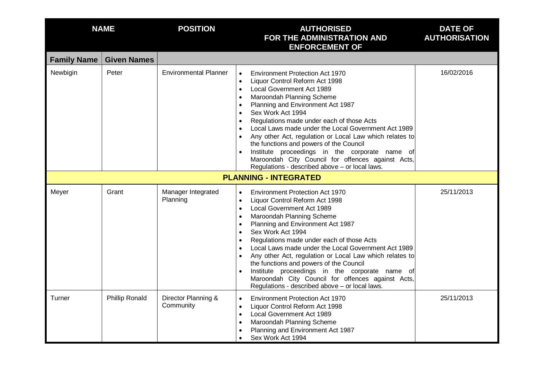| <b>NAME</b>        |                       | <b>POSITION</b>                  | <b>AUTHORISED</b><br>FOR THE ADMINISTRATION AND<br><b>ENFORCEMENT OF</b>                                                                                                                                                                                                                                                                                                                                                                                                                                                                                                                                                                                                             | <b>DATE OF</b><br><b>AUTHORISATION</b> |
|--------------------|-----------------------|----------------------------------|--------------------------------------------------------------------------------------------------------------------------------------------------------------------------------------------------------------------------------------------------------------------------------------------------------------------------------------------------------------------------------------------------------------------------------------------------------------------------------------------------------------------------------------------------------------------------------------------------------------------------------------------------------------------------------------|----------------------------------------|
| <b>Family Name</b> | <b>Given Names</b>    |                                  |                                                                                                                                                                                                                                                                                                                                                                                                                                                                                                                                                                                                                                                                                      |                                        |
| Newbigin           | Peter                 | <b>Environmental Planner</b>     | <b>Environment Protection Act 1970</b><br>$\bullet$<br>Liquor Control Reform Act 1998<br>$\bullet$<br>Local Government Act 1989<br>$\bullet$<br>Maroondah Planning Scheme<br>$\bullet$<br>Planning and Environment Act 1987<br>$\bullet$<br>Sex Work Act 1994<br>$\bullet$<br>Regulations made under each of those Acts<br>$\bullet$<br>Local Laws made under the Local Government Act 1989<br>Any other Act, regulation or Local Law which relates to<br>$\bullet$<br>the functions and powers of the Council<br>Institute proceedings in the corporate name of<br>Maroondah City Council for offences against Acts,<br>Regulations - described above - or local laws.              | 16/02/2016                             |
|                    |                       |                                  | <b>PLANNING - INTEGRATED</b>                                                                                                                                                                                                                                                                                                                                                                                                                                                                                                                                                                                                                                                         |                                        |
| Meyer              | Grant                 | Manager Integrated<br>Planning   | <b>Environment Protection Act 1970</b><br>$\bullet$<br>Liquor Control Reform Act 1998<br>$\bullet$<br>Local Government Act 1989<br>$\bullet$<br>Maroondah Planning Scheme<br>$\bullet$<br>Planning and Environment Act 1987<br>$\bullet$<br>Sex Work Act 1994<br>$\bullet$<br>Regulations made under each of those Acts<br>$\bullet$<br>Local Laws made under the Local Government Act 1989<br>Any other Act, regulation or Local Law which relates to<br>$\bullet$<br>the functions and powers of the Council<br>Institute proceedings in the corporate name of<br>$\bullet$<br>Maroondah City Council for offences against Acts,<br>Regulations - described above - or local laws. | 25/11/2013                             |
| Turner             | <b>Phillip Ronald</b> | Director Planning &<br>Community | <b>Environment Protection Act 1970</b><br>$\bullet$<br>Liquor Control Reform Act 1998<br>$\bullet$<br>Local Government Act 1989<br>$\bullet$<br>Maroondah Planning Scheme<br>$\bullet$<br>Planning and Environment Act 1987<br>Sex Work Act 1994<br>$\bullet$                                                                                                                                                                                                                                                                                                                                                                                                                        | 25/11/2013                             |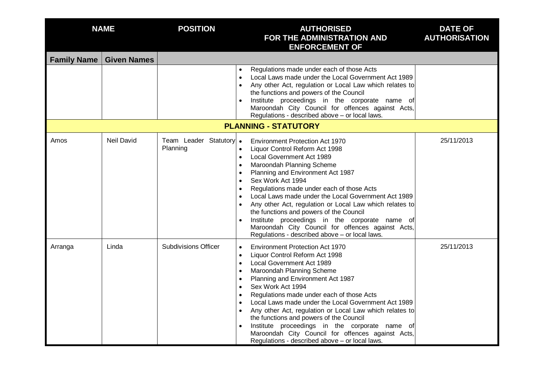| <b>NAME</b>        |                    | <b>POSITION</b>                     | <b>AUTHORISED</b><br>FOR THE ADMINISTRATION AND<br><b>ENFORCEMENT OF</b>                                                                                                                                                                                                                                                                                                                                                                                                                                                                                                     | <b>DATE OF</b><br><b>AUTHORISATION</b> |
|--------------------|--------------------|-------------------------------------|------------------------------------------------------------------------------------------------------------------------------------------------------------------------------------------------------------------------------------------------------------------------------------------------------------------------------------------------------------------------------------------------------------------------------------------------------------------------------------------------------------------------------------------------------------------------------|----------------------------------------|
| <b>Family Name</b> | <b>Given Names</b> |                                     |                                                                                                                                                                                                                                                                                                                                                                                                                                                                                                                                                                              |                                        |
|                    |                    |                                     | Regulations made under each of those Acts<br>Local Laws made under the Local Government Act 1989<br>Any other Act, regulation or Local Law which relates to<br>the functions and powers of the Council<br>Institute proceedings in the corporate name of<br>Maroondah City Council for offences against Acts,<br>Regulations - described above - or local laws.<br><b>PLANNING - STATUTORY</b>                                                                                                                                                                               |                                        |
|                    |                    |                                     |                                                                                                                                                                                                                                                                                                                                                                                                                                                                                                                                                                              |                                        |
| Amos               | <b>Neil David</b>  | Team Leader Statutory •<br>Planning | <b>Environment Protection Act 1970</b><br>Liquor Control Reform Act 1998<br>Local Government Act 1989<br>Maroondah Planning Scheme<br>Planning and Environment Act 1987<br>Sex Work Act 1994<br>Regulations made under each of those Acts<br>Local Laws made under the Local Government Act 1989<br>Any other Act, regulation or Local Law which relates to<br>the functions and powers of the Council<br>Institute proceedings in the corporate name of<br>Maroondah City Council for offences against Acts,<br>Regulations - described above - or local laws.              | 25/11/2013                             |
| Arranga            | Linda              | <b>Subdivisions Officer</b>         | <b>Environment Protection Act 1970</b><br>$\bullet$<br>Liquor Control Reform Act 1998<br>Local Government Act 1989<br>Maroondah Planning Scheme<br>Planning and Environment Act 1987<br>Sex Work Act 1994<br>Regulations made under each of those Acts<br>Local Laws made under the Local Government Act 1989<br>Any other Act, regulation or Local Law which relates to<br>the functions and powers of the Council<br>Institute proceedings in the corporate name of<br>Maroondah City Council for offences against Acts,<br>Regulations - described above - or local laws. | 25/11/2013                             |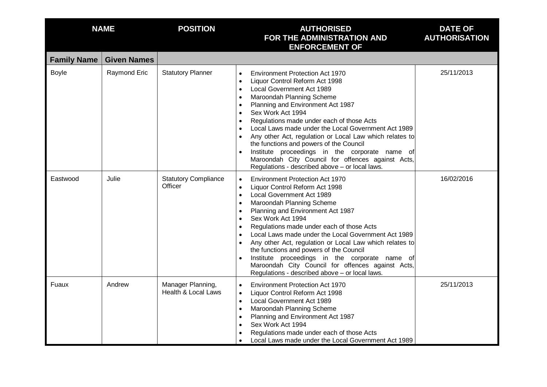| <b>NAME</b>        |                    | <b>POSITION</b>                                     | <b>AUTHORISED</b><br>FOR THE ADMINISTRATION AND<br><b>ENFORCEMENT OF</b>                                                                                                                                                                                                                                                                                                                                                                                                                                                                                                                                                                                                | <b>DATE OF</b><br><b>AUTHORISATION</b> |
|--------------------|--------------------|-----------------------------------------------------|-------------------------------------------------------------------------------------------------------------------------------------------------------------------------------------------------------------------------------------------------------------------------------------------------------------------------------------------------------------------------------------------------------------------------------------------------------------------------------------------------------------------------------------------------------------------------------------------------------------------------------------------------------------------------|----------------------------------------|
| <b>Family Name</b> | <b>Given Names</b> |                                                     |                                                                                                                                                                                                                                                                                                                                                                                                                                                                                                                                                                                                                                                                         |                                        |
| <b>Boyle</b>       | Raymond Eric       | <b>Statutory Planner</b>                            | <b>Environment Protection Act 1970</b><br>$\bullet$<br>Liquor Control Reform Act 1998<br>$\bullet$<br>Local Government Act 1989<br>$\bullet$<br>Maroondah Planning Scheme<br>$\bullet$<br>Planning and Environment Act 1987<br>$\bullet$<br>Sex Work Act 1994<br>$\bullet$<br>Regulations made under each of those Acts<br>$\bullet$<br>Local Laws made under the Local Government Act 1989<br>Any other Act, regulation or Local Law which relates to<br>the functions and powers of the Council<br>Institute proceedings in the corporate name of<br>$\bullet$<br>Maroondah City Council for offences against Acts,<br>Regulations - described above - or local laws. | 25/11/2013                             |
| Eastwood           | Julie              | <b>Statutory Compliance</b><br>Officer              | <b>Environment Protection Act 1970</b><br>$\bullet$<br>Liquor Control Reform Act 1998<br>$\bullet$<br>Local Government Act 1989<br>$\bullet$<br>Maroondah Planning Scheme<br>Planning and Environment Act 1987<br>$\bullet$<br>Sex Work Act 1994<br>$\bullet$<br>Regulations made under each of those Acts<br>$\bullet$<br>Local Laws made under the Local Government Act 1989<br>Any other Act, regulation or Local Law which relates to<br>the functions and powers of the Council<br>Institute proceedings in the corporate name of<br>Maroondah City Council for offences against Acts,<br>Regulations - described above - or local laws.                           | 16/02/2016                             |
| Fuaux              | Andrew             | Manager Planning,<br><b>Health &amp; Local Laws</b> | <b>Environment Protection Act 1970</b><br>$\bullet$<br>Liquor Control Reform Act 1998<br>$\bullet$<br>Local Government Act 1989<br>$\bullet$<br>Maroondah Planning Scheme<br>$\bullet$<br>Planning and Environment Act 1987<br>$\bullet$<br>Sex Work Act 1994<br>$\bullet$<br>Regulations made under each of those Acts<br>Local Laws made under the Local Government Act 1989                                                                                                                                                                                                                                                                                          | 25/11/2013                             |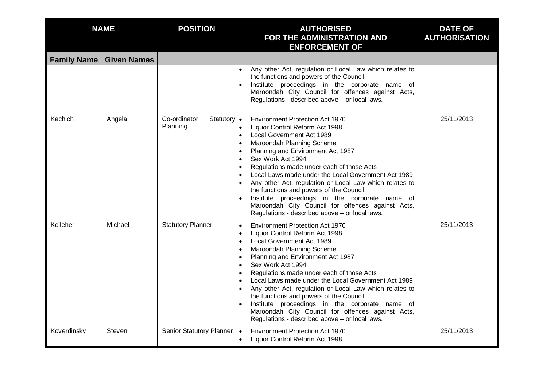| <b>NAME</b>        |                    | <b>POSITION</b>                         | <b>AUTHORISED</b><br>FOR THE ADMINISTRATION AND<br><b>ENFORCEMENT OF</b>                                                                                                                                                                                                                                                                                                                                                                                                                                                                                                                                            | <b>DATE OF</b><br><b>AUTHORISATION</b> |
|--------------------|--------------------|-----------------------------------------|---------------------------------------------------------------------------------------------------------------------------------------------------------------------------------------------------------------------------------------------------------------------------------------------------------------------------------------------------------------------------------------------------------------------------------------------------------------------------------------------------------------------------------------------------------------------------------------------------------------------|----------------------------------------|
| <b>Family Name</b> | <b>Given Names</b> |                                         |                                                                                                                                                                                                                                                                                                                                                                                                                                                                                                                                                                                                                     |                                        |
|                    |                    |                                         | Any other Act, regulation or Local Law which relates to<br>the functions and powers of the Council<br>Institute proceedings in the corporate name of<br>Maroondah City Council for offences against Acts,<br>Regulations - described above - or local laws.                                                                                                                                                                                                                                                                                                                                                         |                                        |
| Kechich            | Angela             | Co-ordinator<br>Statutory •<br>Planning | <b>Environment Protection Act 1970</b><br>Liquor Control Reform Act 1998<br>$\bullet$<br>Local Government Act 1989<br>$\bullet$<br>Maroondah Planning Scheme<br>$\bullet$<br>Planning and Environment Act 1987<br>$\bullet$<br>Sex Work Act 1994<br>Regulations made under each of those Acts<br>Local Laws made under the Local Government Act 1989<br>Any other Act, regulation or Local Law which relates to<br>the functions and powers of the Council<br>Institute proceedings in the corporate name of<br>Maroondah City Council for offences against Acts,<br>Regulations - described above - or local laws. | 25/11/2013                             |
| Kelleher           | Michael            | <b>Statutory Planner</b>                | <b>Environment Protection Act 1970</b><br>$\bullet$<br>Liquor Control Reform Act 1998<br>Local Government Act 1989<br>Maroondah Planning Scheme<br>$\bullet$<br>Planning and Environment Act 1987<br>$\bullet$<br>Sex Work Act 1994<br>Regulations made under each of those Acts<br>Local Laws made under the Local Government Act 1989<br>Any other Act, regulation or Local Law which relates to<br>the functions and powers of the Council<br>Institute proceedings in the corporate name of<br>Maroondah City Council for offences against Acts,<br>Regulations - described above - or local laws.              | 25/11/2013                             |
| Koverdinsky        | Steven             | Senior Statutory Planner                | <b>Environment Protection Act 1970</b><br>$\bullet$<br>Liquor Control Reform Act 1998                                                                                                                                                                                                                                                                                                                                                                                                                                                                                                                               | 25/11/2013                             |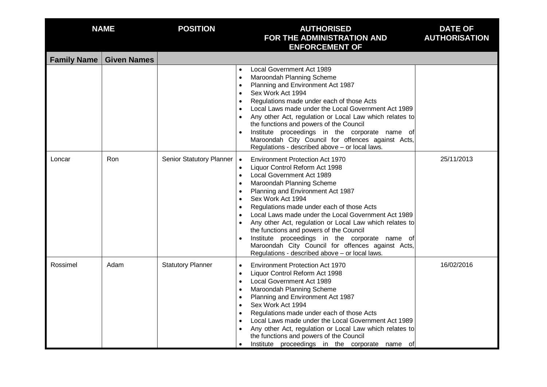| <b>NAME</b>        |                    | <b>POSITION</b>          | <b>AUTHORISED</b><br>FOR THE ADMINISTRATION AND<br><b>ENFORCEMENT OF</b>                                                                                                                                                                                                                                                                                                                                                                                                                                                                                                     | <b>DATE OF</b><br><b>AUTHORISATION</b> |
|--------------------|--------------------|--------------------------|------------------------------------------------------------------------------------------------------------------------------------------------------------------------------------------------------------------------------------------------------------------------------------------------------------------------------------------------------------------------------------------------------------------------------------------------------------------------------------------------------------------------------------------------------------------------------|----------------------------------------|
| <b>Family Name</b> | <b>Given Names</b> |                          |                                                                                                                                                                                                                                                                                                                                                                                                                                                                                                                                                                              |                                        |
|                    |                    |                          | Local Government Act 1989<br>Maroondah Planning Scheme<br>Planning and Environment Act 1987<br>Sex Work Act 1994<br>Regulations made under each of those Acts<br>Local Laws made under the Local Government Act 1989<br>Any other Act, regulation or Local Law which relates to<br>the functions and powers of the Council<br>Institute proceedings in the corporate name of<br>Maroondah City Council for offences against Acts,<br>Regulations - described above - or local laws.                                                                                          |                                        |
| Loncar             | Ron                | Senior Statutory Planner | <b>Environment Protection Act 1970</b><br>$\bullet$<br>Liquor Control Reform Act 1998<br>Local Government Act 1989<br>Maroondah Planning Scheme<br>Planning and Environment Act 1987<br>Sex Work Act 1994<br>Regulations made under each of those Acts<br>Local Laws made under the Local Government Act 1989<br>Any other Act, regulation or Local Law which relates to<br>the functions and powers of the Council<br>Institute proceedings in the corporate name of<br>Maroondah City Council for offences against Acts,<br>Regulations - described above - or local laws. | 25/11/2013                             |
| Rossimel           | Adam               | <b>Statutory Planner</b> | <b>Environment Protection Act 1970</b><br>$\bullet$<br>Liquor Control Reform Act 1998<br>Local Government Act 1989<br>Maroondah Planning Scheme<br>Planning and Environment Act 1987<br>Sex Work Act 1994<br>Regulations made under each of those Acts<br>Local Laws made under the Local Government Act 1989<br>Any other Act, regulation or Local Law which relates to<br>the functions and powers of the Council<br>Institute proceedings in the corporate name of                                                                                                        | 16/02/2016                             |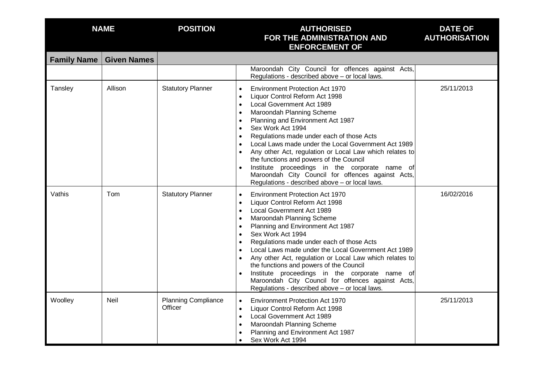| <b>NAME</b>        |                    | <b>POSITION</b>                       | <b>AUTHORISED</b><br>FOR THE ADMINISTRATION AND<br><b>ENFORCEMENT OF</b>                                                                                                                                                                                                                                                                                                                                                                                                                                                                                                                                                                      | <b>DATE OF</b><br><b>AUTHORISATION</b> |
|--------------------|--------------------|---------------------------------------|-----------------------------------------------------------------------------------------------------------------------------------------------------------------------------------------------------------------------------------------------------------------------------------------------------------------------------------------------------------------------------------------------------------------------------------------------------------------------------------------------------------------------------------------------------------------------------------------------------------------------------------------------|----------------------------------------|
| <b>Family Name</b> | <b>Given Names</b> |                                       |                                                                                                                                                                                                                                                                                                                                                                                                                                                                                                                                                                                                                                               |                                        |
|                    |                    |                                       | Maroondah City Council for offences against Acts,<br>Regulations - described above - or local laws.                                                                                                                                                                                                                                                                                                                                                                                                                                                                                                                                           |                                        |
| Tansley            | Allison            | <b>Statutory Planner</b>              | <b>Environment Protection Act 1970</b><br>$\bullet$<br>Liquor Control Reform Act 1998<br>$\bullet$<br>Local Government Act 1989<br>$\bullet$<br>Maroondah Planning Scheme<br>$\bullet$<br>Planning and Environment Act 1987<br>Sex Work Act 1994<br>Regulations made under each of those Acts<br>Local Laws made under the Local Government Act 1989<br>Any other Act, regulation or Local Law which relates to<br>the functions and powers of the Council<br>Institute proceedings in the corporate name of<br>Maroondah City Council for offences against Acts,<br>Regulations - described above - or local laws.                           | 25/11/2013                             |
| Vathis             | Tom                | <b>Statutory Planner</b>              | <b>Environment Protection Act 1970</b><br>$\bullet$<br>Liquor Control Reform Act 1998<br>$\bullet$<br>Local Government Act 1989<br>$\bullet$<br>Maroondah Planning Scheme<br>$\bullet$<br>Planning and Environment Act 1987<br>$\bullet$<br>Sex Work Act 1994<br>$\bullet$<br>Regulations made under each of those Acts<br>Local Laws made under the Local Government Act 1989<br>Any other Act, regulation or Local Law which relates to<br>the functions and powers of the Council<br>Institute proceedings in the corporate name of<br>Maroondah City Council for offences against Acts,<br>Regulations - described above - or local laws. | 16/02/2016                             |
| Woolley            | Neil               | <b>Planning Compliance</b><br>Officer | <b>Environment Protection Act 1970</b><br>$\bullet$<br>Liquor Control Reform Act 1998<br>$\bullet$<br>Local Government Act 1989<br>$\bullet$<br>Maroondah Planning Scheme<br>Planning and Environment Act 1987<br>Sex Work Act 1994                                                                                                                                                                                                                                                                                                                                                                                                           | 25/11/2013                             |